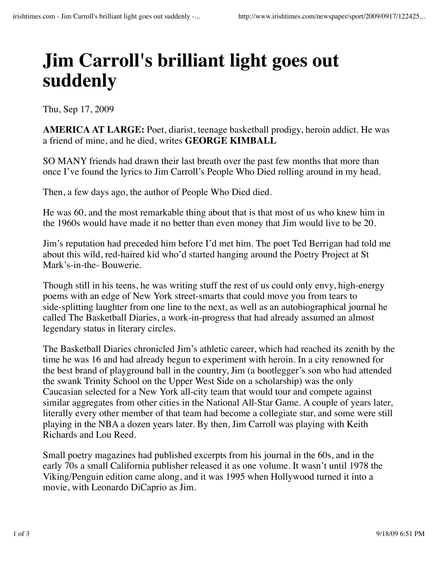## **Jim Carroll's brilliant light goes out suddenly**

Thu, Sep 17, 2009

**AMERICA AT LARGE:** Poet, diarist, teenage basketball prodigy, heroin addict. He was a friend of mine, and he died, writes **GEORGE KIMBALL**

SO MANY friends had drawn their last breath over the past few months that more than once I've found the lyrics to Jim Carroll's People Who Died rolling around in my head.

Then, a few days ago, the author of People Who Died died.

He was 60, and the most remarkable thing about that is that most of us who knew him in the 1960s would have made it no better than even money that Jim would live to be 20.

Jim's reputation had preceded him before I'd met him. The poet Ted Berrigan had told me about this wild, red-haired kid who'd started hanging around the Poetry Project at St Mark's-in-the- Bouwerie.

Though still in his teens, he was writing stuff the rest of us could only envy, high-energy poems with an edge of New York street-smarts that could move you from tears to side-splitting laughter from one line to the next, as well as an autobiographical journal he called The Basketball Diaries, a work-in-progress that had already assumed an almost legendary status in literary circles.

The Basketball Diaries chronicled Jim's athletic career, which had reached its zenith by the time he was 16 and had already begun to experiment with heroin. In a city renowned for the best brand of playground ball in the country, Jim (a bootlegger's son who had attended the swank Trinity School on the Upper West Side on a scholarship) was the only Caucasian selected for a New York all-city team that would tour and compete against similar aggregates from other cities in the National All-Star Game. A couple of years later, literally every other member of that team had become a collegiate star, and some were still playing in the NBA a dozen years later. By then, Jim Carroll was playing with Keith Richards and Lou Reed.

Small poetry magazines had published excerpts from his journal in the 60s, and in the early 70s a small California publisher released it as one volume. It wasn't until 1978 the Viking/Penguin edition came along, and it was 1995 when Hollywood turned it into a movie, with Leonardo DiCaprio as Jim.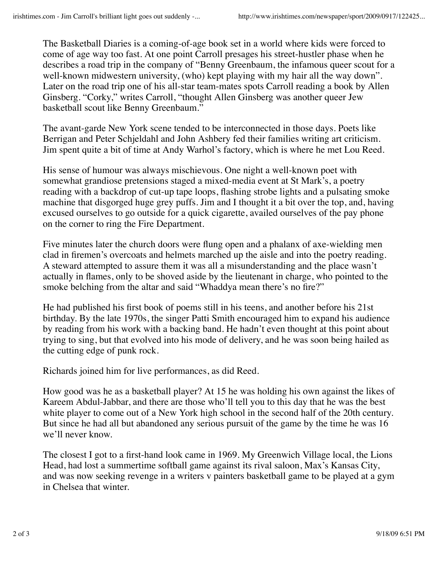The Basketball Diaries is a coming-of-age book set in a world where kids were forced to come of age way too fast. At one point Carroll presages his street-hustler phase when he describes a road trip in the company of "Benny Greenbaum, the infamous queer scout for a well-known midwestern university, (who) kept playing with my hair all the way down". Later on the road trip one of his all-star team-mates spots Carroll reading a book by Allen Ginsberg. "Corky," writes Carroll, "thought Allen Ginsberg was another queer Jew basketball scout like Benny Greenbaum."

The avant-garde New York scene tended to be interconnected in those days. Poets like Berrigan and Peter Schjeldahl and John Ashbery fed their families writing art criticism. Jim spent quite a bit of time at Andy Warhol's factory, which is where he met Lou Reed.

His sense of humour was always mischievous. One night a well-known poet with somewhat grandiose pretensions staged a mixed-media event at St Mark's, a poetry reading with a backdrop of cut-up tape loops, flashing strobe lights and a pulsating smoke machine that disgorged huge grey puffs. Jim and I thought it a bit over the top, and, having excused ourselves to go outside for a quick cigarette, availed ourselves of the pay phone on the corner to ring the Fire Department.

Five minutes later the church doors were flung open and a phalanx of axe-wielding men clad in firemen's overcoats and helmets marched up the aisle and into the poetry reading. A steward attempted to assure them it was all a misunderstanding and the place wasn't actually in flames, only to be shoved aside by the lieutenant in charge, who pointed to the smoke belching from the altar and said "Whaddya mean there's no fire?"

He had published his first book of poems still in his teens, and another before his 21st birthday. By the late 1970s, the singer Patti Smith encouraged him to expand his audience by reading from his work with a backing band. He hadn't even thought at this point about trying to sing, but that evolved into his mode of delivery, and he was soon being hailed as the cutting edge of punk rock.

Richards joined him for live performances, as did Reed.

How good was he as a basketball player? At 15 he was holding his own against the likes of Kareem Abdul-Jabbar, and there are those who'll tell you to this day that he was the best white player to come out of a New York high school in the second half of the 20th century. But since he had all but abandoned any serious pursuit of the game by the time he was 16 we'll never know.

The closest I got to a first-hand look came in 1969. My Greenwich Village local, the Lions Head, had lost a summertime softball game against its rival saloon, Max's Kansas City, and was now seeking revenge in a writers v painters basketball game to be played at a gym in Chelsea that winter.